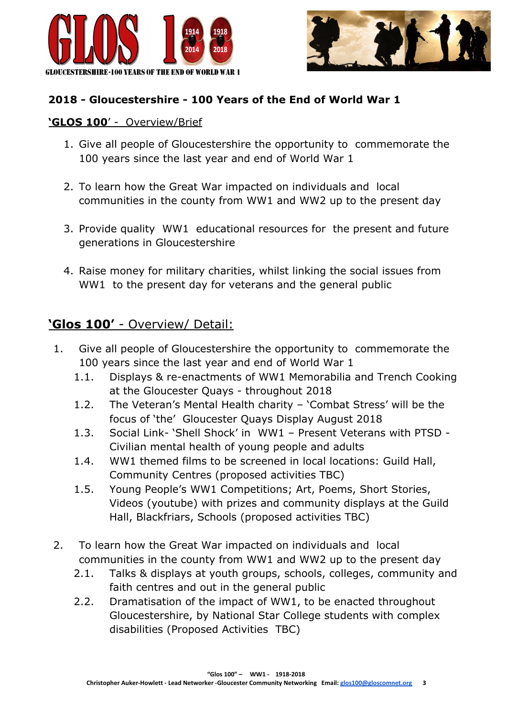



### **2018 - Gloucestershire - 100 Years of the End of World War 1**

### **'GLOS 100**' - Overview/Brief

- 1. Give all people of Gloucestershire the opportunity to commemorate the 100 years since the last year and end of World War 1
- 2. To learn how the Great War impacted on individuals and local communities in the county from WW1 and WW2 up to the present day
- 3. Provide quality WW1 educational resources for the present and future generations in Gloucestershire
- 4. Raise money for military charities, whilst linking the social issues from WW1 to the present day for veterans and the general public

# **'Glos 100'** - Overview/ Detail:

- 1. Give all people of Gloucestershire the opportunity to commemorate the 100 years since the last year and end of World War 1
	- 1.1. Displays & re-enactments of WW1 Memorabilia and Trench Cooking at the Gloucester Quays - throughout 2018
	- 1.2. The Veteran's Mental Health charity 'Combat Stress' will be the focus of 'the' Gloucester Quays Display August 2018
	- 1.3. Social Link- 'Shell Shock' in WW1 Present Veterans with PTSD Civilian mental health of young people and adults
	- 1.4. WW1 themed films to be screened in local locations: Guild Hall, Community Centres (proposed activities TBC)
	- 1.5. Young People's WW1 Competitions; Art, Poems, Short Stories, Videos (youtube) with prizes and community displays at the Guild Hall, Blackfriars, Schools (proposed activities TBC)
- 2. To learn how the Great War impacted on individuals and local communities in the county from WW1 and WW2 up to the present day
	- 2.1. Talks & displays at youth groups, schools, colleges, community and faith centres and out in the general public
	- 2.2. Dramatisation of the impact of WW1, to be enacted throughout Gloucestershire, by National Star College students with complex disabilities (Proposed Activities TBC)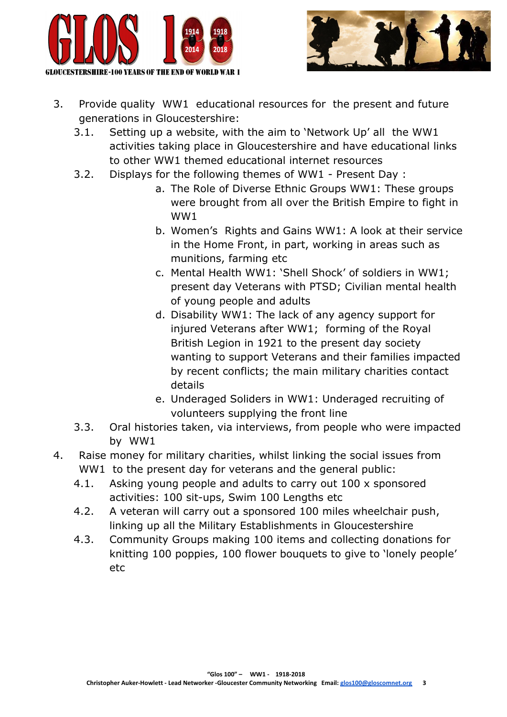



- 3. Provide quality WW1 educational resources for the present and future generations in Gloucestershire:
	- 3.1. Setting up a website, with the aim to 'Network Up' all the WW1 activities taking place in Gloucestershire and have educational links to other WW1 themed educational internet resources
	- 3.2. Displays for the following themes of WW1 Present Day :
		- a. The Role of Diverse Ethnic Groups WW1: These groups were brought from all over the British Empire to fight in WW1
		- b. Women's Rights and Gains WW1: A look at their service in the Home Front, in part, working in areas such as munitions, farming etc
		- c. Mental Health WW1: 'Shell Shock' of soldiers in WW1; present day Veterans with PTSD; Civilian mental health of young people and adults
		- d. Disability WW1: The lack of any agency support for injured Veterans after WW1; forming of the Royal British Legion in 1921 to the present day society wanting to support Veterans and their families impacted by recent conflicts; the main military charities contact details
		- e. Underaged Soliders in WW1: Underaged recruiting of volunteers supplying the front line
	- 3.3. Oral histories taken, via interviews, from people who were impacted by WW1
- 4. Raise money for military charities, whilst linking the social issues from WW1 to the present day for veterans and the general public:
	- 4.1. Asking young people and adults to carry out 100 x sponsored activities: 100 sit-ups, Swim 100 Lengths etc
	- 4.2. A veteran will carry out a sponsored 100 miles wheelchair push, linking up all the Military Establishments in Gloucestershire
	- 4.3. Community Groups making 100 items and collecting donations for knitting 100 poppies, 100 flower bouquets to give to 'lonely people' etc